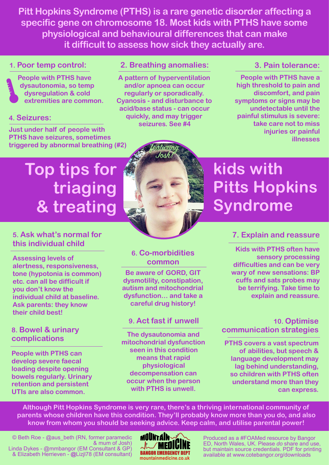**Pitt Hopkins Syndrome (PTHS) is a rare genetic disorder affecting a specific gene on chromosome 18. Most kids with PTHS have some physiological and behavioural differences that can make it difficult to assess how sick they actually are.** 

#### **1. Poor temp control:**



**People with PTHS have dysautonomia, so temp dysregulation & cold extremities are common.** 

#### **4. Seizures:**

**Just under half of people with PTHS have seizures, sometimes triggered by abnormal breathing (#2)** 

#### **2. Breathing anomalies:**

**A pattern of hyperventilation and/or apnoea can occur regularly or sporadically. Cyanosis - and disturbance to acid/base status - can occur quickly, and may trigger seizures. See #4** 

#### **3. Pain tolerance:**

**People with PTHS have a high threshold to pain and discomfort, and pain symptoms or signs may be undetectable until the painful stimulus is severe: take care not to miss injuries or painful illnesses** 

# **Top tips for triaging & treating**



## **kids with Pitts Hopkins Syndrome**

#### **5. Ask what's normal for this individual child**

**Assessing levels of alertness, responsiveness, tone (hypotonia is common) etc. can all be difficult if you don't know the individual child at baseline. Ask parents: they know their child best!** 

#### **8. Bowel & urinary complications**

**People with PTHS can develop severe faecal loading despite opening bowels regularly. Urinary retention and persistent UTIs are also common.** 

#### **6. Co-morbidities common**

**Be aware of GORD, GIT dysmotility, constipation, autism and mitochondrial dysfunction… and take a careful drug history!**

#### **9. Act fast if unwell**

**The dysautonomia and mitochondrial dysfunction seen in this condition means that rapid physiological decompensation can occur when the person with PTHS is unwell.** 

#### **7. Explain and reassure**

**Kids with PTHS often have sensory processing difficulties and can be very wary of new sensations: BP cuffs and sats probes may be terrifying. Take time to explain and reassure.** 

#### **10. Optimise communication strategies**

**PTHS covers a vast spectrum of abilities, but speech & language development may lag behind understanding, so children with PTHS often understand more than they can express.**

**Although Pitt Hopkins Syndrome is very rare, there's a thriving international community of parents whose children have this condition. They'll probably know more than you do, and also know from whom you should be seeking advice. Keep calm, and utilise parental power!** 



Produced as a #FOAMed resource by Bangor ED, North Wales, UK. Please *do* share and use, but maintain source credentials. PDF for printing **BANGOR EMERGENCY DEPT** but maintain source creatings. The formula print available at www.cotebangor.org/downloads